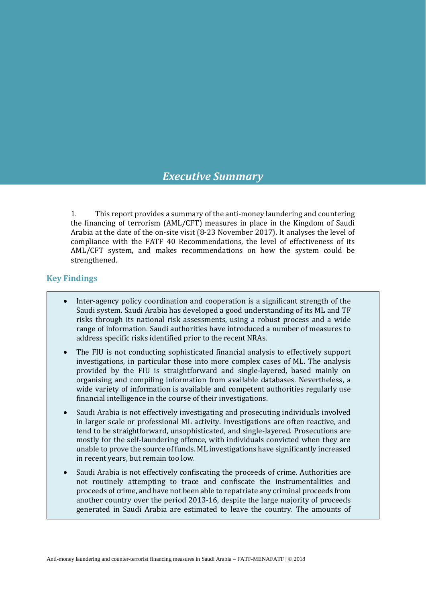# *Executive Summary*

1. This report provides a summary of the anti-money laundering and countering the financing of terrorism (AML/CFT) measures in place in the Kingdom of Saudi Arabia at the date of the on-site visit (8-23 November 2017). It analyses the level of compliance with the FATF 40 Recommendations, the level of effectiveness of its AML/CFT system, and makes recommendations on how the system could be strengthened.

## **Key Findings**

- Inter-agency policy coordination and cooperation is a significant strength of the Saudi system. Saudi Arabia has developed a good understanding of its ML and TF risks through its national risk assessments, using a robust process and a wide range of information. Saudi authorities have introduced a number of measures to address specific risks identified prior to the recent NRAs.
- The FIU is not conducting sophisticated financial analysis to effectively support investigations, in particular those into more complex cases of ML. The analysis provided by the FIU is straightforward and single-layered, based mainly on organising and compiling information from available databases. Nevertheless, a wide variety of information is available and competent authorities regularly use financial intelligence in the course of their investigations.
- Saudi Arabia is not effectively investigating and prosecuting individuals involved in larger scale or professional ML activity. Investigations are often reactive, and tend to be straightforward, unsophisticated, and single-layered. Prosecutions are mostly for the self-laundering offence, with individuals convicted when they are unable to prove the source of funds. ML investigations have significantly increased in recent years, but remain too low.
- Saudi Arabia is not effectively confiscating the proceeds of crime. Authorities are not routinely attempting to trace and confiscate the instrumentalities and proceeds of crime, and have not been able to repatriate any criminal proceeds from another country over the period 2013-16, despite the large majority of proceeds generated in Saudi Arabia are estimated to leave the country. The amounts of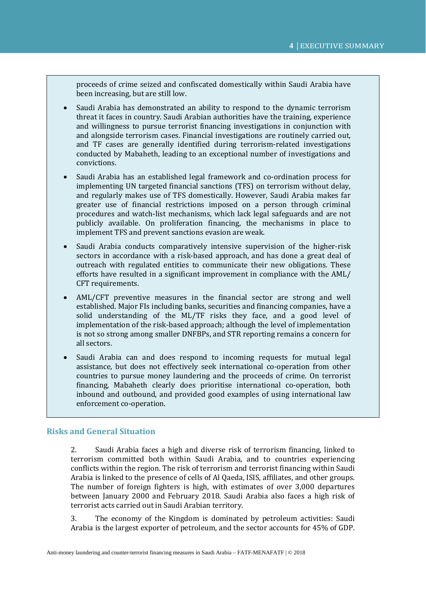proceeds of crime seized and confiscated domestically within Saudi Arabia have been increasing, but are still low.

• Saudi Arabia has demonstrated an ability to respond to the dynamic terrorism threat it faces in country. Saudi Arabian authorities have the training, experience and willingness to pursue terrorist financing investigations in conjunction with and alongside terrorism cases. Financial investigations are routinely carried out, and TF cases are generally identified during terrorism-related investigations conducted by Mabaheth, leading to an exceptional number of investigations and convictions.

• Saudi Arabia has an established legal framework and co-ordination process for implementing UN targeted financial sanctions (TFS) on terrorism without delay, and regularly makes use of TFS domestically. However, Saudi Arabia makes far greater use of financial restrictions imposed on a person through criminal procedures and watch-list mechanisms, which lack legal safeguards and are not publicly available. On proliferation financing, the mechanisms in place to implement TFS and prevent sanctions evasion are weak.

• Saudi Arabia conducts comparatively intensive supervision of the higher-risk sectors in accordance with a risk-based approach, and has done a great deal of outreach with regulated entities to communicate their new obligations. These efforts have resulted in a significant improvement in compliance with the AML/ CFT requirements.

• AML/CFT preventive measures in the financial sector are strong and well established. Major FIs including banks, securities and financing companies, have a solid understanding of the ML/TF risks they face, and a good level of implementation of the risk-based approach; although the level of implementation is not so strong among smaller DNFBPs, and STR reporting remains a concern for all sectors.

• Saudi Arabia can and does respond to incoming requests for mutual legal assistance, but does not effectively seek international co-operation from other countries to pursue money laundering and the proceeds of crime. On terrorist financing, Mabaheth clearly does prioritise international co-operation, both inbound and outbound, and provided good examples of using international law enforcement co-operation.

## **Risks and General Situation**

2. Saudi Arabia faces a high and diverse risk of terrorism financing, linked to terrorism committed both within Saudi Arabia, and to countries experiencing conflicts within the region. The risk of terrorism and terrorist financing within Saudi Arabia is linked to the presence of cells of Al Qaeda, ISIS, affiliates, and other groups. The number of foreign fighters is high, with estimates of over 3,000 departures between January 2000 and February 2018. Saudi Arabia also faces a high risk of terrorist acts carried out in Saudi Arabian territory.

3. The economy of the Kingdom is dominated by petroleum activities: Saudi Arabia is the largest exporter of petroleum, and the sector accounts for 45% of GDP.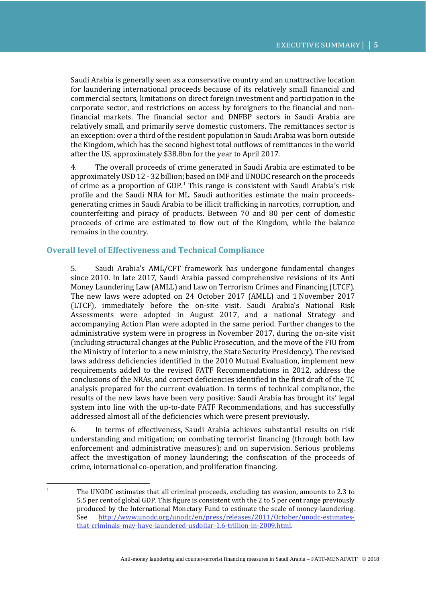Saudi Arabia is generally seen as a conservative country and an unattractive location for laundering international proceeds because of its relatively small financial and commercial sectors, limitations on direct foreign investment and participation in the corporate sector, and restrictions on access by foreigners to the financial and nonfinancial markets. The financial sector and DNFBP sectors in Saudi Arabia are relatively small, and primarily serve domestic customers. The remittances sector is an exception: over a third of the resident population in Saudi Arabia was born outside the Kingdom, which has the second highest total outflows of remittances in the world after the US, approximately \$38.8bn for the year to April 2017.

4. The overall proceeds of crime generated in Saudi Arabia are estimated to be approximatelyUSD 12 - 32 billion; based on IMF and UNODC research on the proceeds of crime as a proportion of GDP. [1](#page-2-0) This range is consistent with Saudi Arabia's risk profile and the Saudi NRA for ML. Saudi authorities estimate the main proceedsgenerating crimes in Saudi Arabia to be illicit trafficking in narcotics, corruption, and counterfeiting and piracy of products. Between 70 and 80 per cent of domestic proceeds of crime are estimated to flow out of the Kingdom, while the balance remains in the country.

## **Overall level of Effectiveness and Technical Compliance**

5. Saudi Arabia's AML/CFT framework has undergone fundamental changes since 2010. In late 2017, Saudi Arabia passed comprehensive revisions of its Anti Money Laundering Law (AMLL) and Law on Terrorism Crimes and Financing (LTCF). The new laws were adopted on 24 October 2017 (AMLL) and 1 November 2017 (LTCF), immediately before the on-site visit. Saudi Arabia's National Risk Assessments were adopted in August 2017, and a national Strategy and accompanying Action Plan were adopted in the same period. Further changes to the administrative system were in progress in November 2017, during the on-site visit (including structural changes at the Public Prosecution, and the move of the FIU from the Ministry of Interior to a new ministry, the State Security Presidency). The revised laws address deficiencies identified in the 2010 Mutual Evaluation, implement new requirements added to the revised FATF Recommendations in 2012, address the conclusions of the NRAs, and correct deficiencies identified in the first draft of the TC analysis prepared for the current evaluation. In terms of technical compliance, the results of the new laws have been very positive: Saudi Arabia has brought its' legal system into line with the up-to-date FATF Recommendations, and has successfully addressed almost all of the deficiencies which were present previously.

6. In terms of effectiveness, Saudi Arabia achieves substantial results on risk understanding and mitigation; on combating terrorist financing (through both law enforcement and administrative measures); and on supervision. Serious problems affect the investigation of money laundering; the confiscation of the proceeds of crime, international co-operation, and proliferation financing.

<span id="page-2-0"></span><sup>&</sup>lt;sup>1</sup> The UNODC estimates that all criminal proceeds, excluding tax evasion, amounts to 2.3 to 5.5 per cent of global GDP. This figure is consistent with the 2 to 5 per cent range previously produced by the International Monetary Fund to estimate the scale of money-laundering.<br>See http://www.unodc.org/unodc/en/press/releases/2011/October/unodc-estimates[http://www.unodc.org/unodc/en/press/releases/2011/October/unodc-estimates](http://www.unodc.org/unodc/en/press/releases/2011/October/unodc-estimates-that-criminals-may-have-laundered-usdollar-1.6-trillion-in-2009.html)[that-criminals-may-have-laundered-usdollar-1.6-trillion-in-2009.html.](http://www.unodc.org/unodc/en/press/releases/2011/October/unodc-estimates-that-criminals-may-have-laundered-usdollar-1.6-trillion-in-2009.html)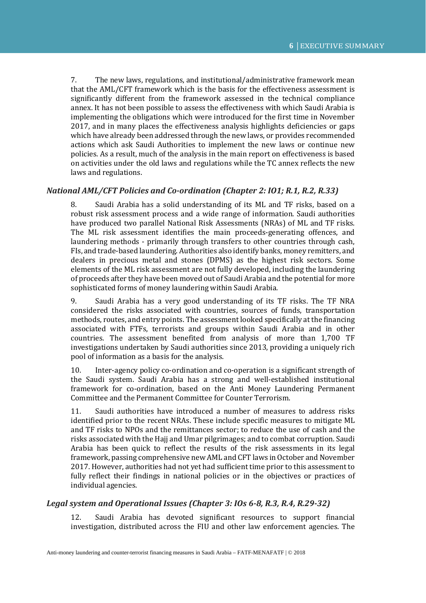7. The new laws, regulations, and institutional/administrative framework mean that the AML/CFT framework which is the basis for the effectiveness assessment is significantly different from the framework assessed in the technical compliance annex. It has not been possible to assess the effectiveness with which Saudi Arabia is implementing the obligations which were introduced for the first time in November 2017, and in many places the effectiveness analysis highlights deficiencies or gaps which have already been addressed through the new laws, or provides recommended actions which ask Saudi Authorities to implement the new laws or continue new policies. As a result, much of the analysis in the main report on effectiveness is based on activities under the old laws and regulations while the TC annex reflects the new laws and regulations.

## *National AML/CFT Policies and Co-ordination (Chapter 2: IO1; R.1, R.2, R.33)*

8. Saudi Arabia has a solid understanding of its ML and TF risks, based on a robust risk assessment process and a wide range of information. Saudi authorities have produced two parallel National Risk Assessments (NRAs) of ML and TF risks. The ML risk assessment identifies the main proceeds-generating offences, and laundering methods - primarily through transfers to other countries through cash, FIs, and trade-based laundering. Authorities also identify banks, money remitters, and dealers in precious metal and stones (DPMS) as the highest risk sectors. Some elements of the ML risk assessment are not fully developed, including the laundering of proceeds after they have been moved out of Saudi Arabia and the potential for more sophisticated forms of money laundering within Saudi Arabia.

9. Saudi Arabia has a very good understanding of its TF risks. The TF NRA considered the risks associated with countries, sources of funds, transportation methods, routes, and entry points. The assessment looked specifically at the financing associated with FTFs, terrorists and groups within Saudi Arabia and in other countries. The assessment benefited from analysis of more than 1,700 TF investigations undertaken by Saudi authorities since 2013, providing a uniquely rich pool of information as a basis for the analysis.

10. Inter-agency policy co-ordination and co-operation is a significant strength of the Saudi system. Saudi Arabia has a strong and well-established institutional framework for co-ordination, based on the Anti Money Laundering Permanent Committee and the Permanent Committee for Counter Terrorism.

11. Saudi authorities have introduced a number of measures to address risks identified prior to the recent NRAs. These include specific measures to mitigate ML and TF risks to NPOs and the remittances sector; to reduce the use of cash and the risks associated with the Hajj and Umar pilgrimages; and to combat corruption. Saudi Arabia has been quick to reflect the results of the risk assessments in its legal framework, passing comprehensive new AML and CFT laws in October and November 2017. However, authorities had not yet had sufficient time prior to this assessment to fully reflect their findings in national policies or in the objectives or practices of individual agencies.

## *Legal system and Operational Issues (Chapter 3: IOs 6-8, R.3, R.4, R.29-32)*

12. Saudi Arabia has devoted significant resources to support financial investigation, distributed across the FIU and other law enforcement agencies. The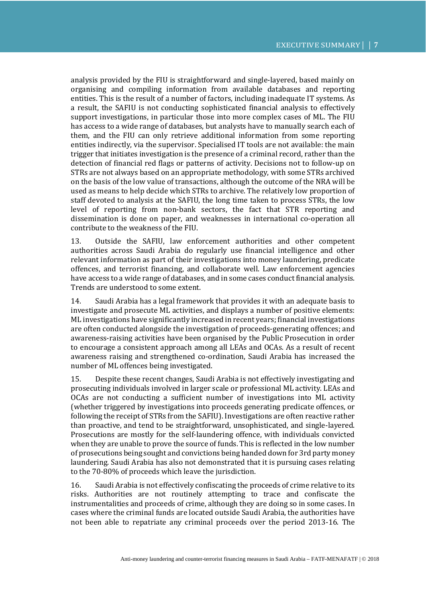analysis provided by the FIU is straightforward and single-layered, based mainly on organising and compiling information from available databases and reporting entities. This is the result of a number of factors, including inadequate IT systems. As a result, the SAFIU is not conducting sophisticated financial analysis to effectively support investigations, in particular those into more complex cases of ML. The FIU has access to a wide range of databases, but analysts have to manually search each of them, and the FIU can only retrieve additional information from some reporting entities indirectly, via the supervisor. Specialised IT tools are not available: the main trigger that initiates investigation is the presence of a criminal record, rather than the detection of financial red flags or patterns of activity. Decisions not to follow-up on STRs are not always based on an appropriate methodology, with some STRs archived on the basis of the low value of transactions, although the outcome of the NRA will be used as means to help decide which STRs to archive. The relatively low proportion of staff devoted to analysis at the SAFIU, the long time taken to process STRs, the low level of reporting from non-bank sectors, the fact that STR reporting and dissemination is done on paper, and weaknesses in international co-operation all contribute to the weakness of the FIU.

13. Outside the SAFIU, law enforcement authorities and other competent authorities across Saudi Arabia do regularly use financial intelligence and other relevant information as part of their investigations into money laundering, predicate offences, and terrorist financing, and collaborate well. Law enforcement agencies have access to a wide range of databases, and in some cases conduct financial analysis. Trends are understood to some extent.

14. Saudi Arabia has a legal framework that provides it with an adequate basis to investigate and prosecute ML activities, and displays a number of positive elements: ML investigations have significantly increased in recent years; financial investigations are often conducted alongside the investigation of proceeds-generating offences; and awareness-raising activities have been organised by the Public Prosecution in order to encourage a consistent approach among all LEAs and OCAs. As a result of recent awareness raising and strengthened co-ordination, Saudi Arabia has increased the number of ML offences being investigated.

15. Despite these recent changes, Saudi Arabia is not effectively investigating and prosecuting individuals involved in larger scale or professional ML activity. LEAs and OCAs are not conducting a sufficient number of investigations into ML activity (whether triggered by investigations into proceeds generating predicate offences, or following the receipt of STRs from the SAFIU). Investigations are often reactive rather than proactive, and tend to be straightforward, unsophisticated, and single-layered. Prosecutions are mostly for the self-laundering offence, with individuals convicted when they are unable to prove the source of funds. This is reflected in the low number of prosecutions being sought and convictions being handed down for 3rd party money laundering. Saudi Arabia has also not demonstrated that it is pursuing cases relating to the 70-80% of proceeds which leave the jurisdiction.

16. Saudi Arabia is not effectively confiscating the proceeds of crime relative to its risks. Authorities are not routinely attempting to trace and confiscate the instrumentalities and proceeds of crime, although they are doing so in some cases. In cases where the criminal funds are located outside Saudi Arabia, the authorities have not been able to repatriate any criminal proceeds over the period 2013-16. The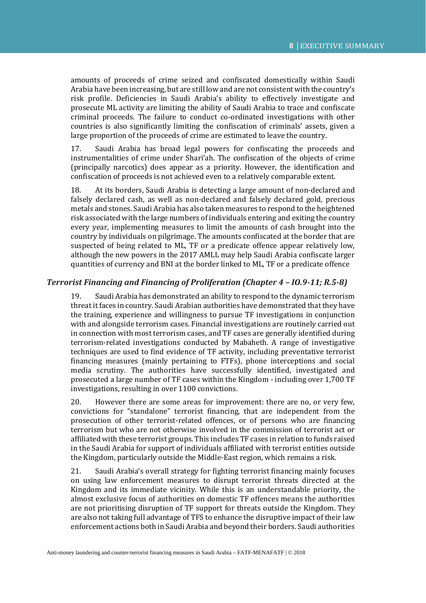amounts of proceeds of crime seized and confiscated domestically within Saudi Arabia have been increasing, but are still low and are not consistent with the country's risk profile. Deficiencies in Saudi Arabia's ability to effectively investigate and prosecute ML activity are limiting the ability of Saudi Arabia to trace and confiscate criminal proceeds. The failure to conduct co-ordinated investigations with other countries is also significantly limiting the confiscation of criminals' assets, given a large proportion of the proceeds of crime are estimated to leave the country.

17. Saudi Arabia has broad legal powers for confiscating the proceeds and instrumentalities of crime under Shari'ah. The confiscation of the objects of crime (principally narcotics) does appear as a priority. However, the identification and confiscation of proceeds is not achieved even to a relatively comparable extent.

18. At its borders, Saudi Arabia is detecting a large amount of non-declared and falsely declared cash, as well as non-declared and falsely declared gold, precious metals and stones. Saudi Arabia has also taken measures to respond to the heightened risk associated with the large numbers of individuals entering and exiting the country every year, implementing measures to limit the amounts of cash brought into the country by individuals on pilgrimage. The amounts confiscated at the border that are suspected of being related to ML, TF or a predicate offence appear relatively low, although the new powers in the 2017 AMLL may help Saudi Arabia confiscate larger quantities of currency and BNI at the border linked to ML, TF or a predicate offence

## *Terrorist Financing and Financing of Proliferation (Chapter 4 – IO.9-11; R.5-8)*

19. Saudi Arabia has demonstrated an ability to respond to the dynamic terrorism threat it faces in country. Saudi Arabian authorities have demonstrated that they have the training, experience and willingness to pursue TF investigations in conjunction with and alongside terrorism cases. Financial investigations are routinely carried out in connection with most terrorism cases, and TF cases are generally identified during terrorism-related investigations conducted by Mabaheth. A range of investigative techniques are used to find evidence of TF activity, including preventative terrorist financing measures (mainly pertaining to FTFs), phone interceptions and social media scrutiny. The authorities have successfully identified, investigated and prosecuted a large number of TF cases within the Kingdom - including over 1,700 TF investigations, resulting in over 1100 convictions.

20. However there are some areas for improvement: there are no, or very few, convictions for "standalone" terrorist financing, that are independent from the prosecution of other terrorist-related offences, or of persons who are financing terrorism but who are not otherwise involved in the commission of terrorist act or affiliated with these terrorist groups. This includes TF cases in relation to funds raised in the Saudi Arabia for support of individuals affiliated with terrorist entities outside the Kingdom, particularly outside the Middle-East region, which remains a risk.

21. Saudi Arabia's overall strategy for fighting terrorist financing mainly focuses on using law enforcement measures to disrupt terrorist threats directed at the Kingdom and its immediate vicinity. While this is an understandable priority, the almost exclusive focus of authorities on domestic TF offences means the authorities are not prioritising disruption of TF support for threats outside the Kingdom. They are also not taking full advantage of TFS to enhance the disruptive impact of their law enforcement actions both in Saudi Arabia and beyond their borders. Saudi authorities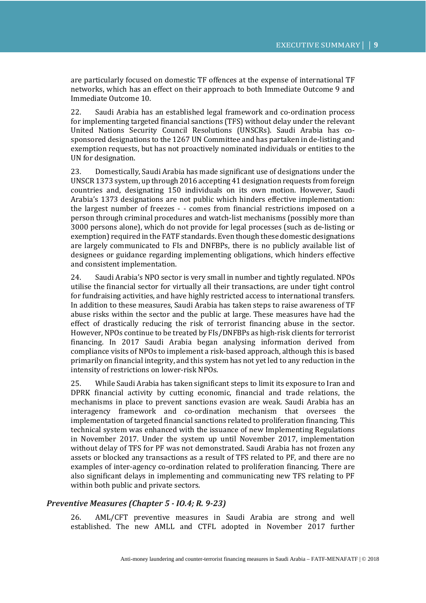are particularly focused on domestic TF offences at the expense of international TF networks, which has an effect on their approach to both Immediate Outcome 9 and Immediate Outcome 10.

22. Saudi Arabia has an established legal framework and co-ordination process for implementing targeted financial sanctions (TFS) without delay under the relevant United Nations Security Council Resolutions (UNSCRs). Saudi Arabia has cosponsored designations to the 1267 UN Committee and has partaken in de-listing and exemption requests, but has not proactively nominated individuals or entities to the UN for designation.

23. Domestically, Saudi Arabia has made significant use of designations under the UNSCR 1373 system, up through 2016 accepting 41 designation requests from foreign countries and, designating 150 individuals on its own motion. However, Saudi Arabia's 1373 designations are not public which hinders effective implementation: the largest number of freezes - - comes from financial restrictions imposed on a person through criminal procedures and watch-list mechanisms (possibly more than 3000 persons alone), which do not provide for legal processes (such as de-listing or exemption) required in the FATF standards. Even though these domestic designations are largely communicated to FIs and DNFBPs, there is no publicly available list of designees or guidance regarding implementing obligations, which hinders effective and consistent implementation.

24. Saudi Arabia's NPO sector is very small in number and tightly regulated. NPOs utilise the financial sector for virtually all their transactions, are under tight control for fundraising activities, and have highly restricted access to international transfers. In addition to these measures, Saudi Arabia has taken steps to raise awareness of TF abuse risks within the sector and the public at large. These measures have had the effect of drastically reducing the risk of terrorist financing abuse in the sector. However, NPOs continue to be treated by FIs/DNFBPs as high-risk clients for terrorist financing. In 2017 Saudi Arabia began analysing information derived from compliance visits of NPOs to implement a risk-based approach, although this is based primarily on financial integrity, and this system has not yet led to any reduction in the intensity of restrictions on lower-risk NPOs.

25. While Saudi Arabia has taken significant steps to limit its exposure to Iran and DPRK financial activity by cutting economic, financial and trade relations, the mechanisms in place to prevent sanctions evasion are weak. Saudi Arabia has an interagency framework and co-ordination mechanism that oversees the implementation of targeted financial sanctions related to proliferation financing. This technical system was enhanced with the issuance of new Implementing Regulations in November 2017. Under the system up until November 2017, implementation without delay of TFS for PF was not demonstrated. Saudi Arabia has not frozen any assets or blocked any transactions as a result of TFS related to PF, and there are no examples of inter-agency co-ordination related to proliferation financing. There are also significant delays in implementing and communicating new TFS relating to PF within both public and private sectors.

## *Preventive Measures (Chapter 5 - IO.4; R. 9-23)*

26. AML/CFT preventive measures in Saudi Arabia are strong and well established. The new AMLL and CTFL adopted in November 2017 further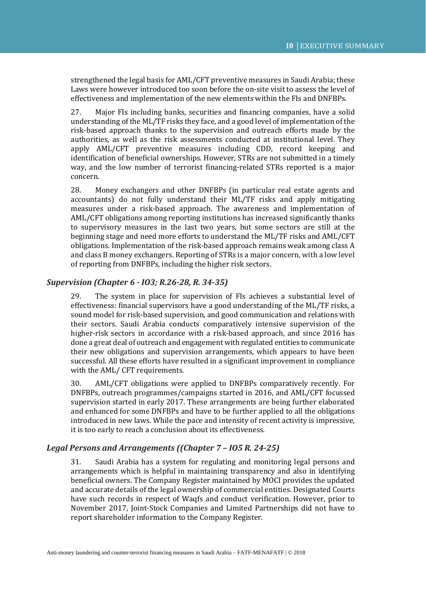strengthened the legal basis for AML/CFT preventive measures in Saudi Arabia; these Laws were however introduced too soon before the on-site visit to assess the level of effectiveness and implementation of the new elements within the FIs and DNFBPs.

27. Major FIs including banks, securities and financing companies, have a solid understanding of the ML/TF risks they face, and a good level of implementation of the risk-based approach thanks to the supervision and outreach efforts made by the authorities, as well as the risk assessments conducted at institutional level. They apply AML/CFT preventive measures including CDD, record keeping and identification of beneficial ownerships. However, STRs are not submitted in a timely way, and the low number of terrorist financing-related STRs reported is a major concern.

28. Money exchangers and other DNFBPs (in particular real estate agents and accountants) do not fully understand their ML/TF risks and apply mitigating measures under a risk-based approach. The awareness and implementation of AML/CFT obligations among reporting institutions has increased significantly thanks to supervisory measures in the last two years, but some sectors are still at the beginning stage and need more efforts to understand the ML/TF risks and AML/CFT obligations. Implementation of the risk-based approach remains weak among class A and class B money exchangers. Reporting of STRs is a major concern, with a low level of reporting from DNFBPs, including the higher risk sectors.

#### *Supervision (Chapter 6 - IO3; R.26-28, R. 34-35)*

29. The system in place for supervision of FIs achieves a substantial level of effectiveness: financial supervisors have a good understanding of the ML/TF risks, a sound model for risk-based supervision, and good communication and relations with their sectors. Saudi Arabia conducts comparatively intensive supervision of the higher-risk sectors in accordance with a risk-based approach, and since 2016 has done a great deal of outreach and engagement with regulated entities to communicate their new obligations and supervision arrangements, which appears to have been successful. All these efforts have resulted in a significant improvement in compliance with the AML/ CFT requirements.

30. AML/CFT obligations were applied to DNFBPs comparatively recently. For DNFBPs, outreach programmes/campaigns started in 2016, and AML/CFT focussed supervision started in early 2017. These arrangements are being further elaborated and enhanced for some DNFBPs and have to be further applied to all the obligations introduced in new laws. While the pace and intensity of recent activity is impressive, it is too early to reach a conclusion about its effectiveness.

## *Legal Persons and Arrangements ((Chapter 7 – IO5 R. 24-25)*

31. Saudi Arabia has a system for regulating and monitoring legal persons and arrangements which is helpful in maintaining transparency and also in identifying beneficial owners. The Company Register maintained by MOCI provides the updated and accurate details of the legal ownership of commercial entities. Designated Courts have such records in respect of Waqfs and conduct verification. However, prior to November 2017, Joint-Stock Companies and Limited Partnerships did not have to report shareholder information to the Company Register.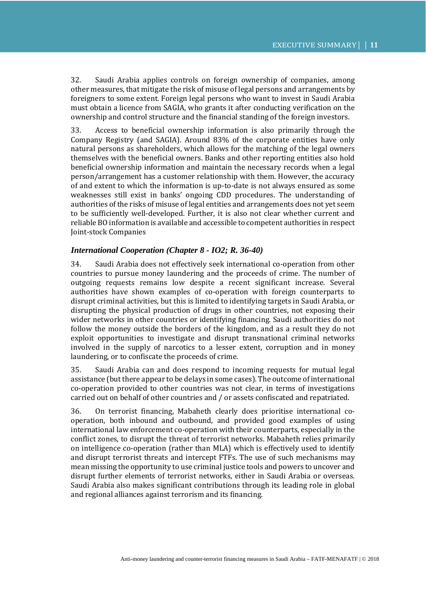32. Saudi Arabia applies controls on foreign ownership of companies, among other measures, that mitigate the risk of misuse of legal persons and arrangements by foreigners to some extent. Foreign legal persons who want to invest in Saudi Arabia must obtain a licence from SAGIA, who grants it after conducting verification on the ownership and control structure and the financial standing of the foreign investors.

33. Access to beneficial ownership information is also primarily through the Company Registry (and SAGIA). Around 83% of the corporate entities have only natural persons as shareholders, which allows for the matching of the legal owners themselves with the beneficial owners. Banks and other reporting entities also hold beneficial ownership information and maintain the necessary records when a legal person/arrangement has a customer relationship with them. However, the accuracy of and extent to which the information is up-to-date is not always ensured as some weaknesses still exist in banks' ongoing CDD procedures. The understanding of authorities of the risks of misuse of legal entities and arrangements does not yet seem to be sufficiently well-developed. Further, it is also not clear whether current and reliable BO information is available and accessible to competent authorities in respect Joint-stock Companies

## *International Cooperation (Chapter 8 - IO2; R. 36-40)*

34. Saudi Arabia does not effectively seek international co-operation from other countries to pursue money laundering and the proceeds of crime. The number of outgoing requests remains low despite a recent significant increase. Several authorities have shown examples of co-operation with foreign counterparts to disrupt criminal activities, but this is limited to identifying targets in Saudi Arabia, or disrupting the physical production of drugs in other countries, not exposing their wider networks in other countries or identifying financing. Saudi authorities do not follow the money outside the borders of the kingdom, and as a result they do not exploit opportunities to investigate and disrupt transnational criminal networks involved in the supply of narcotics to a lesser extent, corruption and in money laundering, or to confiscate the proceeds of crime.

35. Saudi Arabia can and does respond to incoming requests for mutual legal assistance (but there appear to be delays in some cases). The outcome of international co-operation provided to other countries was not clear, in terms of investigations carried out on behalf of other countries and / or assets confiscated and repatriated.

36. On terrorist financing, Mabaheth clearly does prioritise international cooperation, both inbound and outbound, and provided good examples of using international law enforcement co-operation with their counterparts, especially in the conflict zones, to disrupt the threat of terrorist networks. Mabaheth relies primarily on intelligence co-operation (rather than MLA) which is effectively used to identify and disrupt terrorist threats and intercept FTFs. The use of such mechanisms may mean missing the opportunity to use criminal justice tools and powers to uncover and disrupt further elements of terrorist networks, either in Saudi Arabia or overseas. Saudi Arabia also makes significant contributions through its leading role in global and regional alliances against terrorism and its financing.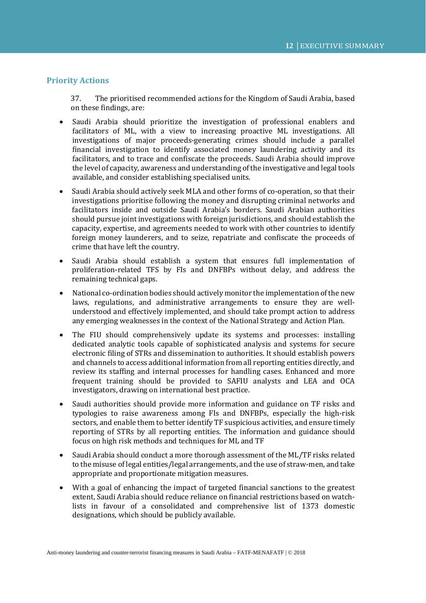## **Priority Actions**

37. The prioritised recommended actions for the Kingdom of Saudi Arabia, based on these findings, are:

- Saudi Arabia should prioritize the investigation of professional enablers and facilitators of ML, with a view to increasing proactive ML investigations. All investigations of major proceeds-generating crimes should include a parallel financial investigation to identify associated money laundering activity and its facilitators, and to trace and confiscate the proceeds. Saudi Arabia should improve the level of capacity, awareness and understanding of the investigative and legal tools available, and consider establishing specialised units.
- Saudi Arabia should actively seek MLA and other forms of co-operation, so that their investigations prioritise following the money and disrupting criminal networks and facilitators inside and outside Saudi Arabia's borders. Saudi Arabian authorities should pursue joint investigations with foreign jurisdictions, and should establish the capacity, expertise, and agreements needed to work with other countries to identify foreign money launderers, and to seize, repatriate and confiscate the proceeds of crime that have left the country.
- Saudi Arabia should establish a system that ensures full implementation of proliferation-related TFS by FIs and DNFBPs without delay, and address the remaining technical gaps.
- National co-ordination bodies should actively monitor the implementation of the new laws, regulations, and administrative arrangements to ensure they are wellunderstood and effectively implemented, and should take prompt action to address any emerging weaknesses in the context of the National Strategy and Action Plan.
- The FIU should comprehensively update its systems and processes: installing dedicated analytic tools capable of sophisticated analysis and systems for secure electronic filing of STRs and dissemination to authorities. It should establish powers and channels to access additional information from all reporting entities directly, and review its staffing and internal processes for handling cases. Enhanced and more frequent training should be provided to SAFIU analysts and LEA and OCA investigators, drawing on international best practice.
- Saudi authorities should provide more information and guidance on TF risks and typologies to raise awareness among FIs and DNFBPs, especially the high-risk sectors, and enable them to better identify TF suspicious activities, and ensure timely reporting of STRs by all reporting entities. The information and guidance should focus on high risk methods and techniques for ML and TF
- Saudi Arabia should conduct a more thorough assessment of the ML/TF risks related to the misuse of legal entities/legal arrangements, and the use of straw-men, and take appropriate and proportionate mitigation measures.
- With a goal of enhancing the impact of targeted financial sanctions to the greatest extent, Saudi Arabia should reduce reliance on financial restrictions based on watchlists in favour of a consolidated and comprehensive list of 1373 domestic designations, which should be publicly available.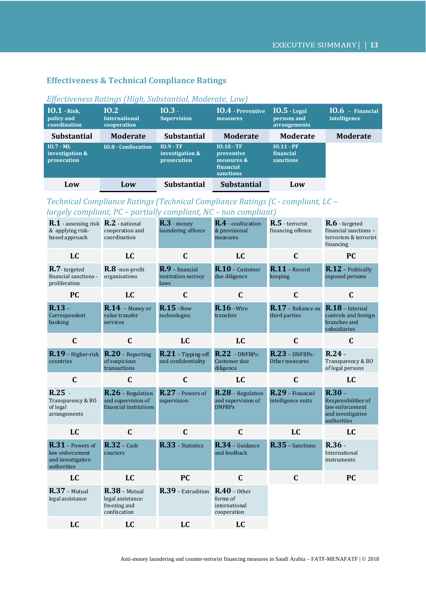## **Effectiveness & Technical Compliance Ratings**

| $IO.1$ - Risk,<br>policy and<br>coordination  | 10.2<br><b>International</b><br>cooperation | $10.3 -$<br><b>Supervision</b>                | <b>IO.4</b> - Preventive<br>measures                                      | $IO.5$ - Legal<br>persons and<br>arrangements | $10.6$ - Financial<br>intelligence |
|-----------------------------------------------|---------------------------------------------|-----------------------------------------------|---------------------------------------------------------------------------|-----------------------------------------------|------------------------------------|
| <b>Substantial</b>                            | <b>Moderate</b>                             | <b>Substantial</b>                            | <b>Moderate</b>                                                           | <b>Moderate</b>                               | <b>Moderate</b>                    |
| $IO.7 - ML$<br>investigation &<br>prosecution | <b>IO.8 - Confiscation</b>                  | $10.9 - TF$<br>investigation &<br>prosecution | $IO.10 - TF$<br>preventive<br>measures &<br>financial<br><b>sanctions</b> | $IO.11 - PF$<br>financial<br><b>sanctions</b> |                                    |
| Low                                           | Low                                         | <b>Substantial</b>                            | <b>Substantial</b>                                                        | Low                                           |                                    |

## *Effectiveness Ratings (High, Substantial, Moderate, Low)*

## *Technical Compliance Ratings (Technical Compliance Ratings (C - compliant, LC – largely compliant, PC – partially compliant, NC – non compliant)*

| R.1 - assessing risk<br>& applying risk-<br>based approach                | R.2 - national<br>cooperation and<br>coordination                    | $R.3$ - money<br>laundering offence            | R.4 - confiscation<br>& provisional<br>measures            | R.5 - terrorist<br>financing offence       | $R.6$ - targeted<br>financial sanctions -<br>terrorism & terrorist<br>financing        |
|---------------------------------------------------------------------------|----------------------------------------------------------------------|------------------------------------------------|------------------------------------------------------------|--------------------------------------------|----------------------------------------------------------------------------------------|
| LC                                                                        | LC                                                                   | $\mathbf C$                                    | LC                                                         | $\mathbf C$                                | <b>PC</b>                                                                              |
| $R.7$ -targeted<br>financial sanctions -<br>proliferation                 | R.8 -non-profit<br>organisations                                     | R.9 - financial<br>institution secrecy<br>laws | R.10 - Customer<br>due diligence                           | $R.11$ - Record<br>keeping                 | R.12 - Politically<br>exposed persons                                                  |
| PC                                                                        | LC                                                                   | $\mathbf C$                                    | $\mathbf C$                                                | $\mathbf C$                                | $\mathbf C$                                                                            |
| $R.13 -$<br>Correspondent<br>banking                                      | $R.14$ - Money or<br>value transfer<br>services                      | $R.15$ -New<br>technologies                    | $R.16 -$ Wire<br>transfers                                 | <b>R.17</b> - Reliance on<br>third parties | $R.18$ – Internal<br>controls and foreign<br>branches and<br>subsidiaries              |
| $\mathbf C$                                                               | $\mathbf C$                                                          | <b>LC</b>                                      | LC                                                         | $\mathbf C$                                | $\mathbf C$                                                                            |
| $R.19$ - Higher-risk<br>countries                                         | R.20 - Reporting<br>of suspicious<br>transactions                    | $R.21$ - Tipping-off<br>and confidentiality    | $R.22$ - DNFBPs:<br>Customer due<br>diligence              | $R.23$ – DNFBPs:<br>Other measures         | $R.24 -$<br>Transparency & BO<br>of legal persons                                      |
|                                                                           |                                                                      |                                                |                                                            |                                            |                                                                                        |
| $\mathbf C$                                                               | $\mathbf C$                                                          | $\mathbf C$                                    | <b>LC</b>                                                  | $\mathbf C$                                | LC                                                                                     |
| $R.25$ .<br>Transparency & BO<br>of legal<br>arrangements                 | R.26 - Regulation<br>and supervision of<br>financial institutions    | R.27 - Powers of<br>supervision                | R.28 - Regulation<br>and supervision of<br><b>DNFBPs</b>   | R.29 - Financial<br>intelligence units     | $R.30 -$<br>Responsibilities of<br>law enforcement<br>and investigative<br>authorities |
| LC                                                                        | $\mathbf C$                                                          | $\mathbf C$                                    | $\mathbf C$                                                | LC                                         | LC                                                                                     |
| $R.31$ - Powers of<br>law enforcement<br>and investigative<br>authorities | $R.32 - Cash$<br>couriers                                            | R.33 - Statistics                              | R.34 - Guidance<br>and feedback                            | R.35 - Sanctions                           | $R.36 -$<br>International<br>instruments                                               |
| LC                                                                        | LC                                                                   | <b>PC</b>                                      | $\mathbf C$                                                | $\mathbf C$                                | <b>PC</b>                                                                              |
| $R.37$ – Mutual<br>legal assistance                                       | $R.38$ - Mutual<br>legal assistance:<br>freezing and<br>confiscation | R.39 - Extradition                             | $R.40 -$ Other<br>forms of<br>international<br>cooperation |                                            |                                                                                        |